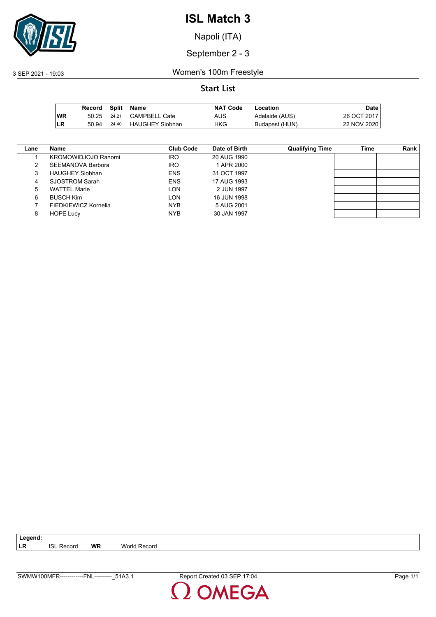

Napoli (ITA)

September 2 - 3

3 SEP 2021 - 19:03 Women's 100m Freestyle

### **Start List**

|           | Record |       | Split Name             | <b>NAT Code</b> | Location       | Date        |
|-----------|--------|-------|------------------------|-----------------|----------------|-------------|
| <b>WR</b> | 50.25  | 24.21 | <b>CAMPBELL Cate</b>   | AUS             | Adelaide (AUS) | 26 OCT 2017 |
| ∣LR       | 50.94  | 24.40 | <b>HAUGHEY Siobhan</b> | HKG             | Budapest (HUN) | 22 NOV 2020 |

| Lane | Name                       | Club Code  | Date of Birth | <b>Qualifying Time</b> | Time | Rank |
|------|----------------------------|------------|---------------|------------------------|------|------|
|      | <b>KROMOWIDJOJO Ranomi</b> | <b>IRO</b> | 20 AUG 1990   |                        |      |      |
|      | SEEMANOVA Barbora          | <b>IRO</b> | 1 APR 2000    |                        |      |      |
| 3    | <b>HAUGHEY Siobhan</b>     | <b>ENS</b> | 31 OCT 1997   |                        |      |      |
| 4    | SJOSTROM Sarah             | <b>ENS</b> | 17 AUG 1993   |                        |      |      |
| 5    | <b>WATTEL Marie</b>        | LON        | 2 JUN 1997    |                        |      |      |
| 6    | <b>BUSCH Kim</b>           | LON        | 16 JUN 1998   |                        |      |      |
|      | FIEDKIEWICZ Kornelia       | NYB        | 5 AUG 2001    |                        |      |      |
| 8    | <b>HOPE Lucy</b>           | <b>NYB</b> | 30 JAN 1997   |                        |      |      |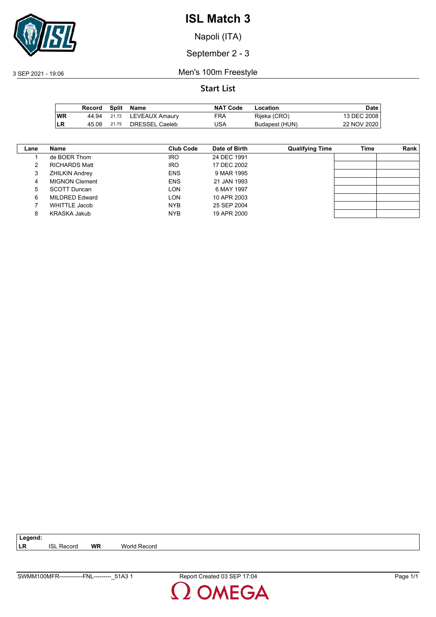

Napoli (ITA)

September 2 - 3

3 SEP 2021 - 19:06 Men's 100m Freestyle

|     | Record |       | Split Name     | <b>NAT Code</b> | Location       | Date i      |
|-----|--------|-------|----------------|-----------------|----------------|-------------|
| ∣WR | 44.94  | 21.72 | LEVEAUX Amaury | FRA             | Rijeka (CRO)   | 13 DEC 2008 |
| LR  | 45.08  | 21.75 | DRESSEL Caeleb | JSA             | Budapest (HUN) | 22 NOV 2020 |

| Lane | Name                  | Club Code  | Date of Birth | <b>Qualifying Time</b> | Time | Rank |
|------|-----------------------|------------|---------------|------------------------|------|------|
|      | de BOER Thom          | <b>IRO</b> | 24 DEC 1991   |                        |      |      |
|      | <b>RICHARDS Matt</b>  | <b>IRO</b> | 17 DEC 2002   |                        |      |      |
| 3    | <b>ZHILKIN Andrey</b> | <b>ENS</b> | 9 MAR 1995    |                        |      |      |
| 4    | <b>MIGNON Clement</b> | <b>ENS</b> | 21 JAN 1993   |                        |      |      |
| 5    | <b>SCOTT Duncan</b>   | LON.       | 6 MAY 1997    |                        |      |      |
| 6    | <b>MILDRED Edward</b> | LON        | 10 APR 2003   |                        |      |      |
|      | WHITTLE Jacob         | <b>NYB</b> | 25 SEP 2004   |                        |      |      |
| 8    | KRASKA Jakub          | <b>NYB</b> | 19 APR 2000   |                        |      |      |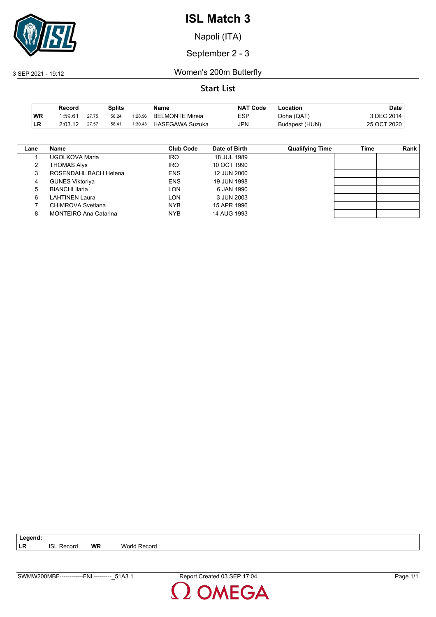

Napoli (ITA)

### September 2 - 3

3 SEP 2021 - 19:12 Women's 200m Butterfly

|           | Record  |       | Splits |         | Name                   | <b>NAT</b><br>ˈ Code | -ocation       | Date        |
|-----------|---------|-------|--------|---------|------------------------|----------------------|----------------|-------------|
| <b>WR</b> | 1:59.61 | 27.75 | 58.24  | 1:28.96 | <b>BELMONTE Mireia</b> | ESP                  | Doha (QAT)     | 3 DEC 2014  |
| LR        | 2:03.12 | 27.57 | 58.41  | 1:30.43 | HASEGAWA Suzuka        | <b>JPN</b>           | Budapest (HUN) | 25 OCT 2020 |

| Lane | <b>Name</b>                  | <b>Club Code</b> | Date of Birth | <b>Qualifying Time</b> | Time | <b>Rank</b> |
|------|------------------------------|------------------|---------------|------------------------|------|-------------|
|      | UGOLKOVA Maria               | <b>IRO</b>       | 18 JUL 1989   |                        |      |             |
|      | <b>THOMAS Alys</b>           | IRO.             | 10 OCT 1990   |                        |      |             |
| 3    | ROSENDAHL BACH Helena        | <b>ENS</b>       | 12 JUN 2000   |                        |      |             |
| 4    | <b>GUNES Viktoriya</b>       | <b>ENS</b>       | 19 JUN 1998   |                        |      |             |
| 5    | <b>BIANCHI Ilaria</b>        | <b>LON</b>       | 6 JAN 1990    |                        |      |             |
| 6    | LAHTINEN Laura               | LON              | 3 JUN 2003    |                        |      |             |
|      | CHIMROVA Svetlana            | <b>NYB</b>       | 15 APR 1996   |                        |      |             |
| 8    | <b>MONTEIRO Ana Catarina</b> | <b>NYB</b>       | 14 AUG 1993   |                        |      |             |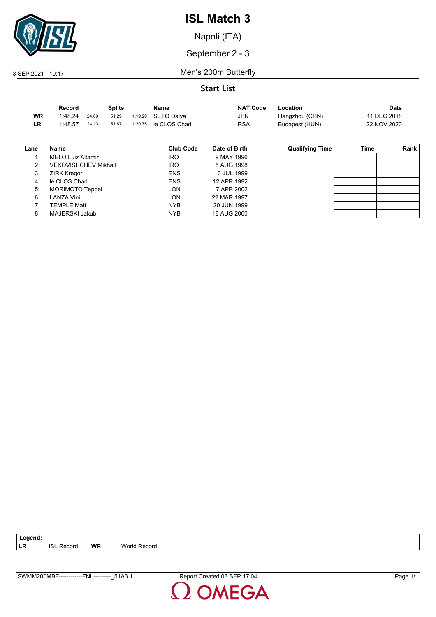

Napoli (ITA)

September 2 - 3

3 SEP 2021 - 19:17 Men's 200m Butterfly

**Start List**

|           | Record  |       | Splits |         | Name         | <b>NAT Code</b> | -ocation       | Date        |
|-----------|---------|-------|--------|---------|--------------|-----------------|----------------|-------------|
| <b>WR</b> | 1.48.24 | 24.00 | 51.29  | 1:19.29 | SETO Daiva   | JPN             | Hangzhou (CHN) | 11 DEC 2018 |
| ILR       | 1:48.57 | 24.13 | 51.87  | 1:20.75 | le CLOS Chad | RSA             | Budapest (HUN) | 22 NOV 2020 |

| Lane | Name                        | Club Code  | Date of Birth | <b>Qualifying Time</b> | Time | Rank |
|------|-----------------------------|------------|---------------|------------------------|------|------|
|      | <b>MELO Luiz Altamir</b>    | <b>IRO</b> | 9 MAY 1996    |                        |      |      |
|      | <b>VEKOVISHCHEV Mikhail</b> | <b>IRO</b> | 5 AUG 1998    |                        |      |      |
| 3    | <b>ZIRK Kregor</b>          | <b>ENS</b> | 3 JUL 1999    |                        |      |      |
| 4    | le CLOS Chad                | <b>ENS</b> | 12 APR 1992   |                        |      |      |
| 5    | <b>MORIMOTO Teppei</b>      | LON        | 7 APR 2002    |                        |      |      |
| 6    | LANZA Vini                  | LON        | 22 MAR 1997   |                        |      |      |
|      | TEMPLE Matt                 | <b>NYB</b> | 20 JUN 1999   |                        |      |      |
| 8    | MAJERSKI Jakub              | <b>NYB</b> | 18 AUG 2000   |                        |      |      |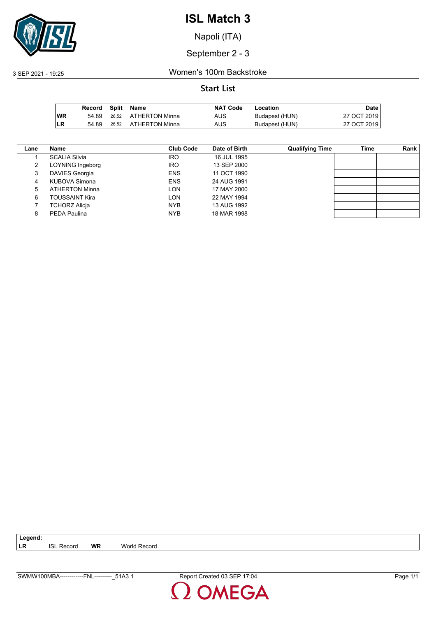

Napoli (ITA)

September 2 - 3

3 SEP 2021 - 19:25 Women's 100m Backstroke

|           | Record |       | Split Name           | <b>NAT Code</b> | Location       | Date l      |
|-----------|--------|-------|----------------------|-----------------|----------------|-------------|
| <b>WR</b> | 54.89  |       | 26.52 ATHERTON Minna | AUS             | Budapest (HUN) | 27 OCT 2019 |
| ∣LR       | 54.89  | 26.52 | ATHERTON Minna       | <b>AUS</b>      | Budapest (HUN) | 27 OCT 2019 |

| Lane | Name                  | <b>Club Code</b> | Date of Birth | <b>Qualifying Time</b> | Time | Rank |
|------|-----------------------|------------------|---------------|------------------------|------|------|
|      | <b>SCALIA Silvia</b>  | <b>IRO</b>       | 16 JUL 1995   |                        |      |      |
|      | LOYNING Ingeborg      | <b>IRO</b>       | 13 SEP 2000   |                        |      |      |
| 3    | <b>DAVIES Georgia</b> | <b>ENS</b>       | 11 OCT 1990   |                        |      |      |
| 4    | KUBOVA Simona         | <b>ENS</b>       | 24 AUG 1991   |                        |      |      |
| 5    | <b>ATHERTON Minna</b> | <b>LON</b>       | 17 MAY 2000   |                        |      |      |
| 6    | <b>TOUSSAINT Kira</b> | <b>LON</b>       | 22 MAY 1994   |                        |      |      |
|      | <b>TCHORZ Alicia</b>  | <b>NYB</b>       | 13 AUG 1992   |                        |      |      |
|      | PEDA Paulina          | <b>NYB</b>       | 18 MAR 1998   |                        |      |      |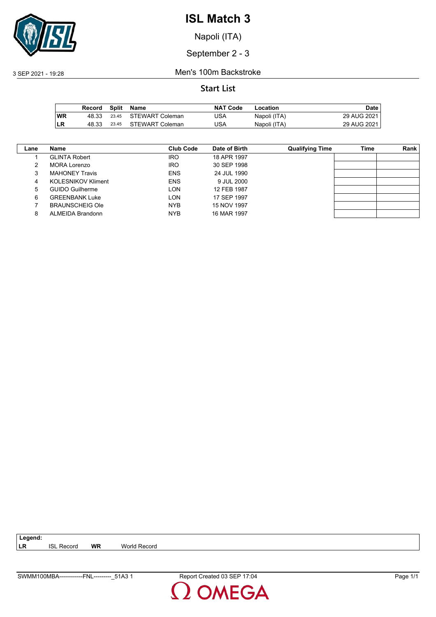

Napoli (ITA)

September 2 - 3

3 SEP 2021 - 19:28 Men's 100m Backstroke

### **Start List**

|           | Record | <b>Split</b> | Name            | <b>NAT Code</b> | Location     | Date        |
|-----------|--------|--------------|-----------------|-----------------|--------------|-------------|
| <b>WR</b> | 48.33  | 23.45        | STEWART Coleman | JSA             | Napoli (ITA) | 29 AUG 2021 |
| ILR       | 48.33  | 23.45        | STEWART Coleman | JSA             | Napoli (ITA) | 29 AUG 2021 |

| Lane | Name                      | Club Code  | Date of Birth | <b>Qualifying Time</b> | Time | <b>Rank</b> |
|------|---------------------------|------------|---------------|------------------------|------|-------------|
|      | <b>GLINTA Robert</b>      | <b>IRO</b> | 18 APR 1997   |                        |      |             |
|      | MORA Lorenzo              | <b>IRO</b> | 30 SEP 1998   |                        |      |             |
| 3    | <b>MAHONEY Travis</b>     | <b>ENS</b> | 24 JUL 1990   |                        |      |             |
| 4    | <b>KOLESNIKOV Kliment</b> | <b>ENS</b> | 9 JUL 2000    |                        |      |             |
| 5    | <b>GUIDO Guilherme</b>    | <b>LON</b> | 12 FEB 1987   |                        |      |             |
| 6    | <b>GREENBANK Luke</b>     | <b>LON</b> | 17 SEP 1997   |                        |      |             |
|      | <b>BRAUNSCHEIG Ole</b>    | <b>NYB</b> | 15 NOV 1997   |                        |      |             |
| 8    | ALMEIDA Brandonn          | <b>NYB</b> | 16 MAR 1997   |                        |      |             |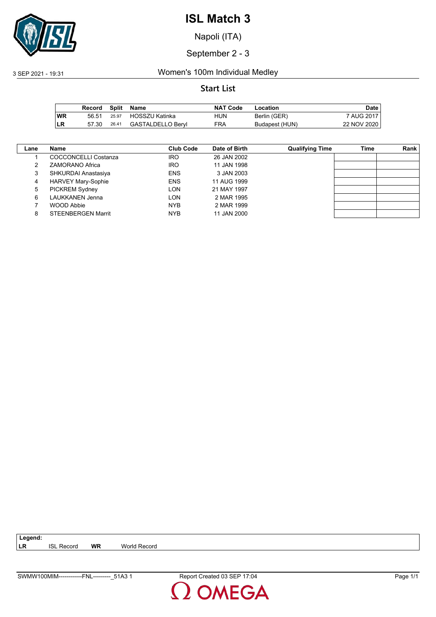

Napoli (ITA)

September 2 - 3

### 3 SEP 2021 - 19:31 Women's 100m Individual Medley

|           | Record | Split | Name              | <b>NAT Code</b> | Location       | Date        |
|-----------|--------|-------|-------------------|-----------------|----------------|-------------|
| <b>WR</b> | 56.51  | 25.97 | HOSSZU Katinka    | HUN             | Berlin (GER)   | 7 AUG 2017  |
| ∣LR       | 57.30  | 26.41 | GASTALDELLO Beryl | <b>FRA</b>      | Budapest (HUN) | 22 NOV 2020 |

| Lane | Name                      | Club Code  | Date of Birth | <b>Qualifying Time</b> | Time | Rank |
|------|---------------------------|------------|---------------|------------------------|------|------|
|      | COCCONCELLI Costanza      | <b>IRO</b> | 26 JAN 2002   |                        |      |      |
|      | <b>ZAMORANO Africa</b>    | <b>IRO</b> | 11 JAN 1998   |                        |      |      |
| 3    | SHKURDAI Anastasiya       | <b>ENS</b> | 3 JAN 2003    |                        |      |      |
| 4    | <b>HARVEY Mary-Sophie</b> | <b>ENS</b> | 11 AUG 1999   |                        |      |      |
| 5    | <b>PICKREM Sydney</b>     | LON        | 21 MAY 1997   |                        |      |      |
| 6    | <b>LAUKKANEN Jenna</b>    | LON        | 2 MAR 1995    |                        |      |      |
|      | WOOD Abbie                | <b>NYB</b> | 2 MAR 1999    |                        |      |      |
| 8    | <b>STEENBERGEN Marrit</b> | <b>NYB</b> | 11 JAN 2000   |                        |      |      |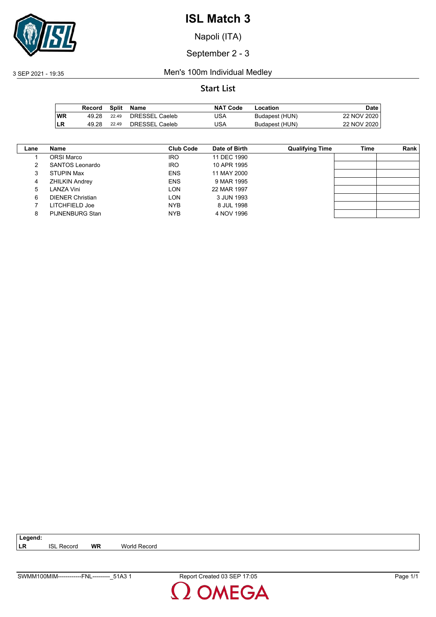

Napoli (ITA)

September 2 - 3

3 SEP 2021 - 19:35 Men's 100m Individual Medley

|           | Record | Split | Name           | <b>NAT Code</b> | Location       | Date l      |
|-----------|--------|-------|----------------|-----------------|----------------|-------------|
| <b>WR</b> | 49.28  | 22.49 | DRESSEL Caeleb | JSA             | Budapest (HUN) | 22 NOV 2020 |
| ∣LR       | 49.28  | 22.49 | DRESSEL Caeleb | JSA             | Budapest (HUN) | 22 NOV 2020 |

| Lane | Name                    | Club Code  | Date of Birth | <b>Qualifying Time</b> | Time | Rank |
|------|-------------------------|------------|---------------|------------------------|------|------|
|      | <b>ORSI Marco</b>       | <b>IRO</b> | 11 DEC 1990   |                        |      |      |
|      | SANTOS Leonardo         | <b>IRO</b> | 10 APR 1995   |                        |      |      |
| 3    | <b>STUPIN Max</b>       | <b>ENS</b> | 11 MAY 2000   |                        |      |      |
| 4    | <b>ZHILKIN Andrey</b>   | <b>ENS</b> | 9 MAR 1995    |                        |      |      |
| 5    | LANZA Vini              | LON        | 22 MAR 1997   |                        |      |      |
| 6    | <b>DIENER Christian</b> | <b>LON</b> | 3 JUN 1993    |                        |      |      |
|      | LITCHFIELD Joe          | <b>NYB</b> | 8 JUL 1998    |                        |      |      |
| 8    | <b>PIJNENBURG Stan</b>  | <b>NYB</b> | 4 NOV 1996    |                        |      |      |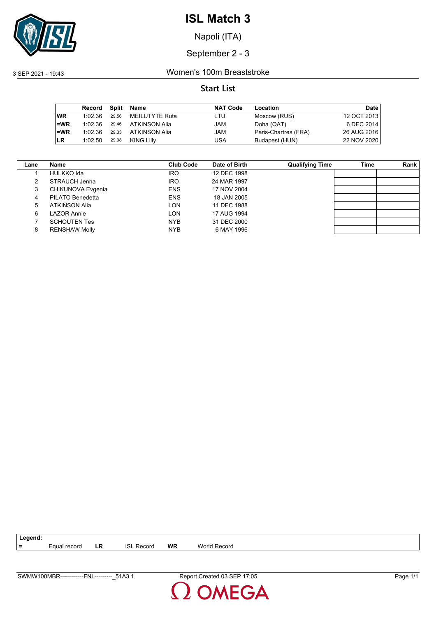

Napoli (ITA)

September 2 - 3

3 SEP 2021 - 19:43 Women's 100m Breaststroke

### **Start List**

|           | Record  | Split | Name           | <b>NAT Code</b> | Location             | <b>Date</b> |
|-----------|---------|-------|----------------|-----------------|----------------------|-------------|
| <b>WR</b> | 1:02.36 | 29.56 | MEILUTYTE Ruta | LTU             | Moscow (RUS)         | 12 OCT 2013 |
| $=$ WR    | 1:02.36 | 29.46 | ATKINSON Alia  | JAM             | Doha (QAT)           | 6 DEC 2014  |
| $=WR$     | 1.02.36 | 29.33 | ATKINSON Alia  | JAM             | Paris-Chartres (FRA) | 26 AUG 2016 |
| <b>LR</b> | 1:02.50 | 29.38 | KING Lilly     | USA             | Budapest (HUN)       | 22 NOV 2020 |

| Lane | Name                 | <b>Club Code</b> | Date of Birth | <b>Qualifying Time</b> | Time | Rank |
|------|----------------------|------------------|---------------|------------------------|------|------|
|      | HULKKO Ida           | <b>IRO</b>       | 12 DEC 1998   |                        |      |      |
| 2    | STRAUCH Jenna        | <b>IRO</b>       | 24 MAR 1997   |                        |      |      |
| 3    | CHIKUNOVA Evgenia    | <b>ENS</b>       | 17 NOV 2004   |                        |      |      |
| 4    | PILATO Benedetta     | <b>ENS</b>       | 18 JAN 2005   |                        |      |      |
| 5    | ATKINSON Alia        | LON              | 11 DEC 1988   |                        |      |      |
| 6    | LAZOR Annie          | LON              | 17 AUG 1994   |                        |      |      |
|      | <b>SCHOUTEN Tes</b>  | <b>NYB</b>       | 31 DEC 2000   |                        |      |      |
| 8    | <b>RENSHAW Molly</b> | <b>NYB</b>       | 6 MAY 1996    |                        |      |      |

**=** Equal record **LR** ISL Record **WR** World Record

**Legend:**

**MEGA**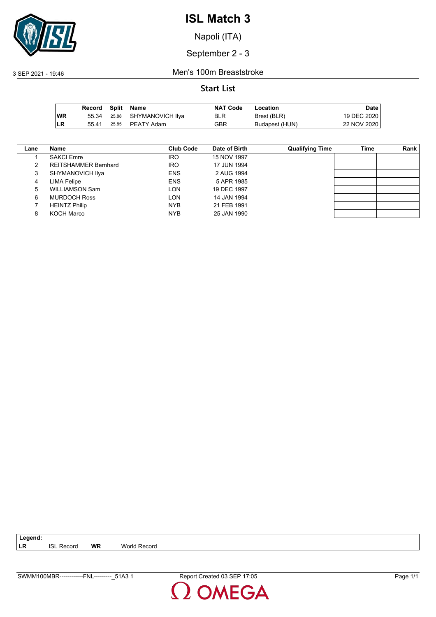

Napoli (ITA)

September 2 - 3

3 SEP 2021 - 19:46 Men's 100m Breaststroke

### **Start List**

|           | Record |       | Split Name             | <b>NAT Code</b> | Location       | Date i      |
|-----------|--------|-------|------------------------|-----------------|----------------|-------------|
| <b>WR</b> | 55.34  |       | 25.88 SHYMANOVICH IIya | BLR             | Brest (BLR)    | 19 DEC 2020 |
| ILR       | 55.41  | 25.85 | PEATY Adam             | GBR             | Budapest (HUN) | 22 NOV 2020 |

| Lane | Name                        | Club Code  | Date of Birth | <b>Qualifying Time</b> | Time | <b>Rank</b> |
|------|-----------------------------|------------|---------------|------------------------|------|-------------|
|      | <b>SAKCI Emre</b>           | <b>IRO</b> | 15 NOV 1997   |                        |      |             |
|      | <b>REITSHAMMER Bernhard</b> | <b>IRO</b> | 17 JUN 1994   |                        |      |             |
| 3    | SHYMANOVICH Ilya            | <b>ENS</b> | 2 AUG 1994    |                        |      |             |
| 4    | LIMA Felipe                 | <b>ENS</b> | 5 APR 1985    |                        |      |             |
| 5    | <b>WILLIAMSON Sam</b>       | <b>LON</b> | 19 DEC 1997   |                        |      |             |
| 6    | <b>MURDOCH Ross</b>         | <b>LON</b> | 14 JAN 1994   |                        |      |             |
|      | <b>HEINTZ Philip</b>        | <b>NYB</b> | 21 FEB 1991   |                        |      |             |
| 8    | KOCH Marco                  | <b>NYB</b> | 25 JAN 1990   |                        |      |             |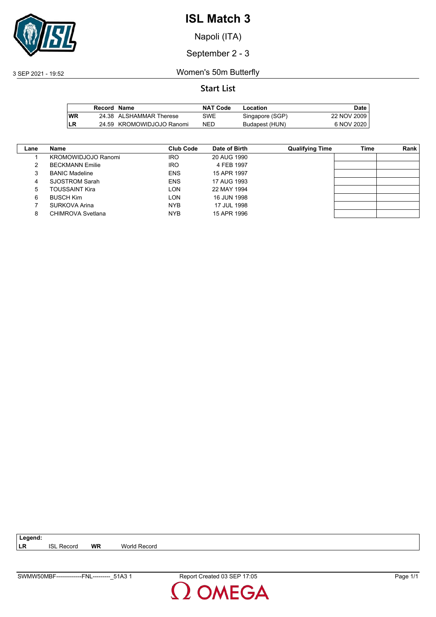

Napoli (ITA)

September 2 - 3

3 SEP 2021 - 19:52 Women's 50m Butterfly

|     | Record Name |                           | <b>NAT Code</b> | Location        | Date        |
|-----|-------------|---------------------------|-----------------|-----------------|-------------|
| lWR |             | 24.38 ALSHAMMAR Therese   | SWE             | Singapore (SGP) | 22 NOV 2009 |
| .LR |             | 24.59 KROMOWIDJOJO Ranomi | NED             | Budapest (HUN)  | 6 NOV 2020  |

| Lane | Name                     | Club Code  | Date of Birth | <b>Qualifying Time</b> | Time | Rank |
|------|--------------------------|------------|---------------|------------------------|------|------|
|      | KROMOWIDJOJO Ranomi      | <b>IRO</b> | 20 AUG 1990   |                        |      |      |
| 2    | <b>BECKMANN Emilie</b>   | <b>IRO</b> | 4 FEB 1997    |                        |      |      |
| 3    | <b>BANIC Madeline</b>    | <b>ENS</b> | 15 APR 1997   |                        |      |      |
| 4    | SJOSTROM Sarah           | <b>ENS</b> | 17 AUG 1993   |                        |      |      |
| 5    | <b>TOUSSAINT Kira</b>    | LON        | 22 MAY 1994   |                        |      |      |
| 6    | <b>BUSCH Kim</b>         | LON        | 16 JUN 1998   |                        |      |      |
|      | SURKOVA Arina            | <b>NYB</b> | 17 JUL 1998   |                        |      |      |
| 8    | <b>CHIMROVA Svetlana</b> | <b>NYB</b> | 15 APR 1996   |                        |      |      |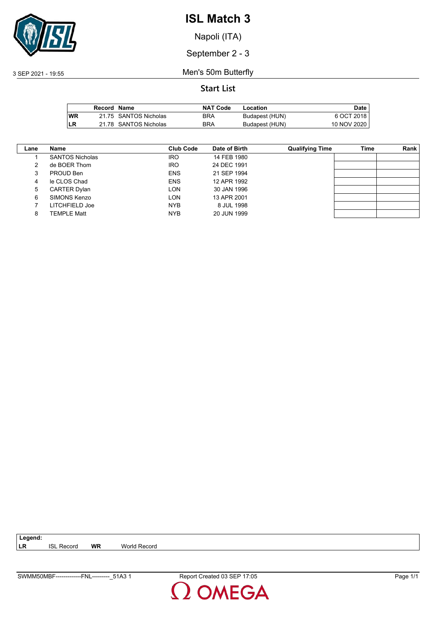

Napoli (ITA)

September 2 - 3

3 SEP 2021 - 19:55 Men's 50m Butterfly

|            | Record Name |                       | <b>NAT Code</b> | Location       | Date I      |
|------------|-------------|-----------------------|-----------------|----------------|-------------|
| <b>IWR</b> |             | 21.75 SANTOS Nicholas | BRA             | Budapest (HUN) | 6 OCT 2018  |
| LR         |             | 21.78 SANTOS Nicholas | <b>BRA</b>      | Budapest (HUN) | 10 NOV 2020 |

| Lane | Name                   | Club Code  | Date of Birth | <b>Qualifying Time</b> | Time | Rank |
|------|------------------------|------------|---------------|------------------------|------|------|
|      | <b>SANTOS Nicholas</b> | <b>IRO</b> | 14 FEB 1980   |                        |      |      |
| 2    | de BOER Thom           | <b>IRO</b> | 24 DEC 1991   |                        |      |      |
| 3    | PROUD Ben              | <b>ENS</b> | 21 SEP 1994   |                        |      |      |
| 4    | le CLOS Chad           | <b>ENS</b> | 12 APR 1992   |                        |      |      |
| 5    | <b>CARTER Dylan</b>    | LON        | 30 JAN 1996   |                        |      |      |
| 6    | SIMONS Kenzo           | LON        | 13 APR 2001   |                        |      |      |
|      | LITCHFIELD Joe         | <b>NYB</b> | 8 JUL 1998    |                        |      |      |
| 8    | <b>TEMPLE Matt</b>     | <b>NYB</b> | 20 JUN 1999   |                        |      |      |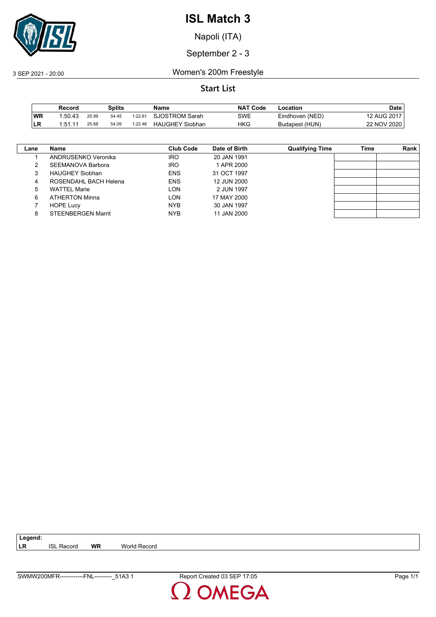

Napoli (ITA)

### September 2 - 3

3 SEP 2021 - 20:00 Women's 200m Freestyle

|     | Record  |       | Splits |         | Name                   | <b>NAT Code</b> | -ocation        | Date        |
|-----|---------|-------|--------|---------|------------------------|-----------------|-----------------|-------------|
| ∣WR | 1:50.43 | 25.99 | 54.45  | 1:22.61 | <b>SJOSTROM Sarah</b>  | SWE             | Eindhoven (NED) | 12 AUG 2017 |
| ILR | 1.51.11 | 25.88 | 54.09  | 1:22.46 | <b>HAUGHEY Siobhan</b> | HKG             | Budapest (HUN)  | 22 NOV 2020 |

| Lane | <b>Name</b>               | <b>Club Code</b> | Date of Birth | <b>Qualifying Time</b> | Time | <b>Rank</b> |
|------|---------------------------|------------------|---------------|------------------------|------|-------------|
|      | ANDRUSENKO Veronika       | <b>IRO</b>       | 20 JAN 1991   |                        |      |             |
|      | SEEMANOVA Barbora         | <b>IRO</b>       | 1 APR 2000    |                        |      |             |
| 3    | <b>HAUGHEY Siobhan</b>    | <b>ENS</b>       | 31 OCT 1997   |                        |      |             |
| 4    | ROSENDAHL BACH Helena     | <b>ENS</b>       | 12 JUN 2000   |                        |      |             |
| 5    | <b>WATTEL Marie</b>       | LON              | 2 JUN 1997    |                        |      |             |
| 6    | <b>ATHERTON Minna</b>     | LON              | 17 MAY 2000   |                        |      |             |
|      | <b>HOPE Lucy</b>          | <b>NYB</b>       | 30 JAN 1997   |                        |      |             |
| 8    | <b>STEENBERGEN Marrit</b> | <b>NYB</b>       | 11 JAN 2000   |                        |      |             |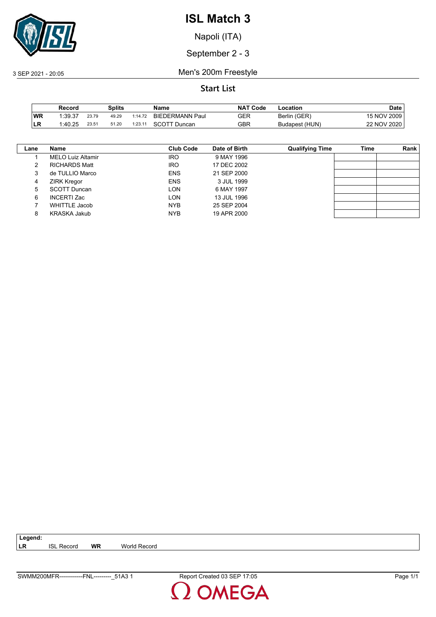

Napoli (ITA)

September 2 - 3

3 SEP 2021 - 20:05 Men's 200m Freestyle

## **Start List**

|           | Record  |       | Splits |         | Name                         | NAT<br>ˈ Code | Location       | Date         |
|-----------|---------|-------|--------|---------|------------------------------|---------------|----------------|--------------|
| <b>WR</b> | 1:39.37 | 23.79 | 49.29  | 1:14.72 | <b>BIEDERMANN Paul</b>       | GER           | Berlin (GER)   | 15 NOV 2009, |
| ILR       | 1:40.25 | 23.51 | 51.20  | 1:23.11 | SCOTT<br><sup>:</sup> Duncan | GBR           | Budapest (HUN) | 22 NOV 2020  |

| Lane | Name                     | Club Code  | Date of Birth | <b>Qualifying Time</b> | Time | Rank |
|------|--------------------------|------------|---------------|------------------------|------|------|
|      | <b>MELO Luiz Altamir</b> | <b>IRO</b> | 9 MAY 1996    |                        |      |      |
| 2    | <b>RICHARDS Matt</b>     | <b>IRO</b> | 17 DEC 2002   |                        |      |      |
| 3    | de TULLIO Marco          | <b>ENS</b> | 21 SEP 2000   |                        |      |      |
| 4    | <b>ZIRK Kregor</b>       | <b>ENS</b> | 3 JUL 1999    |                        |      |      |
| 5    | <b>SCOTT Duncan</b>      | LON        | 6 MAY 1997    |                        |      |      |
| 6    | <b>INCERTI Zac</b>       | <b>LON</b> | 13 JUL 1996   |                        |      |      |
|      | WHITTLE Jacob            | <b>NYB</b> | 25 SEP 2004   |                        |      |      |
| 8    | KRASKA Jakub             | <b>NYB</b> | 19 APR 2000   |                        |      |      |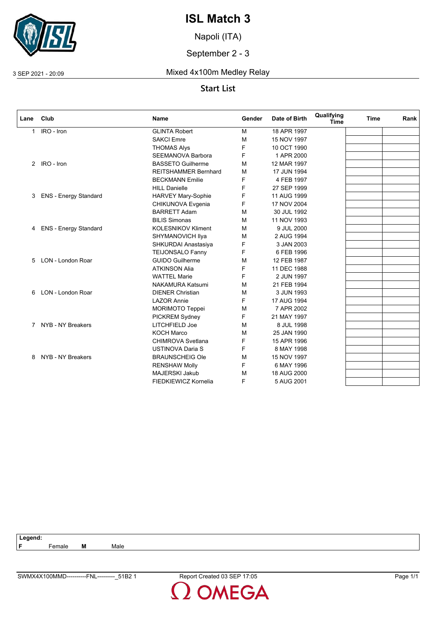

Napoli (ITA)

September 2 - 3

3 SEP 2021 - 20:09 Mixed 4x100m Medley Relay

## **Start List**

| Lane | Club                         | <b>Name</b>                 | Gender | Date of Birth | Qualifying<br><b>Time</b> | Time | Rank |
|------|------------------------------|-----------------------------|--------|---------------|---------------------------|------|------|
| 1.   | IRO - Iron                   | <b>GLINTA Robert</b>        | M      | 18 APR 1997   |                           |      |      |
|      |                              | <b>SAKCI Emre</b>           | M      | 15 NOV 1997   |                           |      |      |
|      |                              | <b>THOMAS Alys</b>          | F      | 10 OCT 1990   |                           |      |      |
|      |                              | <b>SEEMANOVA Barbora</b>    | F      | 1 APR 2000    |                           |      |      |
|      | 2 IRO - Iron                 | <b>BASSETO Guilherme</b>    | M      | 12 MAR 1997   |                           |      |      |
|      |                              | <b>REITSHAMMER Bernhard</b> | M      | 17 JUN 1994   |                           |      |      |
|      |                              | <b>BECKMANN Emilie</b>      | F      | 4 FEB 1997    |                           |      |      |
|      |                              | <b>HILL Danielle</b>        | F      | 27 SEP 1999   |                           |      |      |
| 3    | <b>ENS - Energy Standard</b> | HARVEY Mary-Sophie          | F      | 11 AUG 1999   |                           |      |      |
|      |                              | CHIKUNOVA Evgenia           | F      | 17 NOV 2004   |                           |      |      |
|      |                              | <b>BARRETT Adam</b>         | м      | 30 JUL 1992   |                           |      |      |
|      |                              | <b>BILIS Simonas</b>        | M      | 11 NOV 1993   |                           |      |      |
|      | 4 ENS - Energy Standard      | <b>KOLESNIKOV Kliment</b>   | M      | 9 JUL 2000    |                           |      |      |
|      |                              | SHYMANOVICH IIya            | M      | 2 AUG 1994    |                           |      |      |
|      |                              | SHKURDAI Anastasiya         | F      | 3 JAN 2003    |                           |      |      |
|      |                              | <b>TEIJONSALO Fanny</b>     | F      | 6 FEB 1996    |                           |      |      |
| 5    | LON - London Roar            | <b>GUIDO Guilherme</b>      | M      | 12 FEB 1987   |                           |      |      |
|      |                              | <b>ATKINSON Alia</b>        | F      | 11 DEC 1988   |                           |      |      |
|      |                              | <b>WATTEL Marie</b>         | F      | 2 JUN 1997    |                           |      |      |
|      |                              | <b>NAKAMURA Katsumi</b>     | M      | 21 FEB 1994   |                           |      |      |
| 6.   | LON - London Roar            | <b>DIENER Christian</b>     | M      | 3 JUN 1993    |                           |      |      |
|      |                              | <b>LAZOR Annie</b>          | F      | 17 AUG 1994   |                           |      |      |
|      |                              | <b>MORIMOTO Teppei</b>      | M      | 7 APR 2002    |                           |      |      |
|      |                              | PICKREM Sydney              | F      | 21 MAY 1997   |                           |      |      |
|      | 7 NYB - NY Breakers          | LITCHFIELD Joe              | M      | 8 JUL 1998    |                           |      |      |
|      |                              | <b>KOCH Marco</b>           | M      | 25 JAN 1990   |                           |      |      |
|      |                              | <b>CHIMROVA Svetlana</b>    | F      | 15 APR 1996   |                           |      |      |
|      |                              | <b>USTINOVA Daria S</b>     | F      | 8 MAY 1998    |                           |      |      |
| 8    | NYB - NY Breakers            | <b>BRAUNSCHEIG Ole</b>      | M      | 15 NOV 1997   |                           |      |      |
|      |                              | <b>RENSHAW Molly</b>        | F      | 6 MAY 1996    |                           |      |      |
|      |                              | <b>MAJERSKI Jakub</b>       | м      | 18 AUG 2000   |                           |      |      |
|      |                              | FIEDKIEWICZ Kornelia        | F      | 5 AUG 2001    |                           |      |      |

| agand <sup>.</sup> |        |   |      |
|--------------------|--------|---|------|
| Е                  | ∶emale | M | Male |
|                    |        |   |      |
|                    |        |   |      |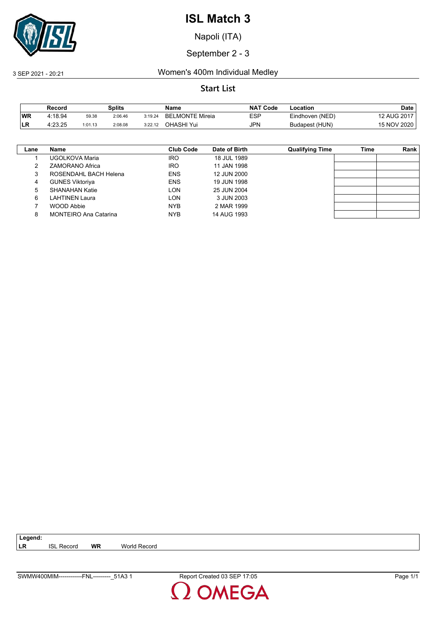

Napoli (ITA)

### September 2 - 3

### 3 SEP 2021 - 20:21 Women's 400m Individual Medley

### **Start List**

|           | Record  |         | <b>Splits</b> |         | Name                   | <b>NAT Code</b> | ∟ocation        | Date        |
|-----------|---------|---------|---------------|---------|------------------------|-----------------|-----------------|-------------|
| <b>WR</b> | 4:18.94 | 59.38   | 2:06.46       | 3:19.24 | <b>BELMONTE Mireia</b> | ESP             | Eindhoven (NED) | 12 AUG 2017 |
| <b>LR</b> | 4:23.25 | 1:01.13 | 2:08.08       | 3:22.12 | OHASHI Yui             | JPN             | Budapest (HUN)  | 15 NOV 2020 |

| Lane | Name                         | Club Code  | Date of Birth | <b>Qualifying Time</b> | Time | Rank |
|------|------------------------------|------------|---------------|------------------------|------|------|
|      | UGOLKOVA Maria               | <b>IRO</b> | 18 JUL 1989   |                        |      |      |
|      | ZAMORANO Africa              | <b>IRO</b> | 11 JAN 1998   |                        |      |      |
| 3    | ROSENDAHL BACH Helena        | <b>ENS</b> | 12 JUN 2000   |                        |      |      |
| 4    | <b>GUNES Viktoriya</b>       | <b>ENS</b> | 19 JUN 1998   |                        |      |      |
| 5    | SHANAHAN Katie               | LON        | 25 JUN 2004   |                        |      |      |
| 6    | LAHTINEN Laura               | LON        | 3 JUN 2003    |                        |      |      |
|      | WOOD Abbie                   | <b>NYB</b> | 2 MAR 1999    |                        |      |      |
| 8    | <b>MONTEIRO Ana Catarina</b> | <b>NYB</b> | 14 AUG 1993   |                        |      |      |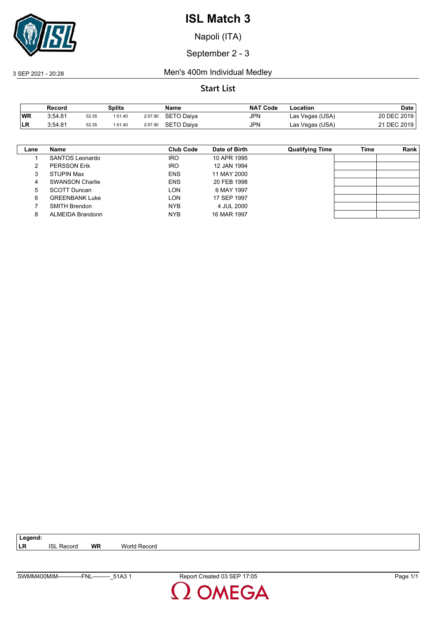

Napoli (ITA)

September 2 - 3

3 SEP 2021 - 20:28 Men's 400m Individual Medley

|           | Record  |       | <b>Splits</b> |         | Name              | <b>NAT Code</b> | Location        | Date        |
|-----------|---------|-------|---------------|---------|-------------------|-----------------|-----------------|-------------|
| <b>WR</b> | 3:54.81 | 52.35 | 1:51.40       | 2:57.90 | <b>SETO Daiya</b> | JPN             | Las Vegas (USA) | 20 DEC 2019 |
| LR        | 3:54.81 | 52.35 | 1:51.40       | 2:57.90 | SETO Daiva        | JPN             | Las Vegas (USA) | 21 DEC 2019 |

| Lane | Name                   | Club Code  | Date of Birth | <b>Qualifying Time</b> | Time | Rank |
|------|------------------------|------------|---------------|------------------------|------|------|
|      | SANTOS Leonardo        | <b>IRO</b> | 10 APR 1995   |                        |      |      |
| 2    | <b>PERSSON Erik</b>    | <b>IRO</b> | 12 JAN 1994   |                        |      |      |
| 3    | <b>STUPIN Max</b>      | <b>ENS</b> | 11 MAY 2000   |                        |      |      |
| 4    | <b>SWANSON Charlie</b> | <b>ENS</b> | 20 FEB 1998   |                        |      |      |
| 5    | <b>SCOTT Duncan</b>    | <b>LON</b> | 6 MAY 1997    |                        |      |      |
| 6    | <b>GREENBANK Luke</b>  | <b>LON</b> | 17 SEP 1997   |                        |      |      |
|      | <b>SMITH Brendon</b>   | <b>NYB</b> | 4 JUL 2000    |                        |      |      |
| 8    | ALMEIDA Brandonn       | <b>NYB</b> | 16 MAR 1997   |                        |      |      |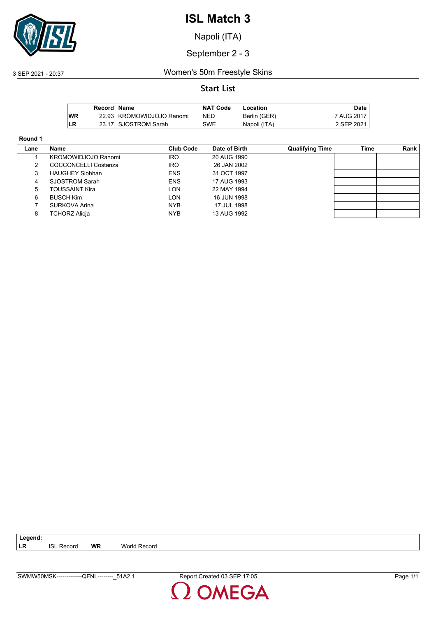

Napoli (ITA)

September 2 - 3

### 3 SEP 2021 - 20:37 Women's 50m Freestyle Skins

### **Start List**

|    | Record Name |                           | <b>NAT Code</b> | Location     | <b>Date</b> |
|----|-------------|---------------------------|-----------------|--------------|-------------|
| WR |             | 22.93 KROMOWIDJOJO Ranomi | NED             | Berlin (GER) | 7 AUG 2017  |
| LR |             | 23.17 SJOSTROM Sarah      | SWE             | Napoli (ITA) | 2 SEP 2021  |

#### **Round 1**

| Lane | Name                   | Club Code  | Date of Birth | <b>Qualifying Time</b> | Time | Rank |
|------|------------------------|------------|---------------|------------------------|------|------|
|      | KROMOWIDJOJO Ranomi    | <b>IRO</b> | 20 AUG 1990   |                        |      |      |
|      | COCCONCELLI Costanza   | <b>IRO</b> | 26 JAN 2002   |                        |      |      |
|      | <b>HAUGHEY Siobhan</b> | <b>ENS</b> | 31 OCT 1997   |                        |      |      |
| 4    | SJOSTROM Sarah         | <b>ENS</b> | 17 AUG 1993   |                        |      |      |
| 5.   | TOUSSAINT Kira         | LON        | 22 MAY 1994   |                        |      |      |
| 6    | <b>BUSCH Kim</b>       | LON        | 16 JUN 1998   |                        |      |      |
|      | SURKOVA Arina          | NYB        | 17 JUL 1998   |                        |      |      |
| 8    | <b>TCHORZ Alicja</b>   | NYB        | 13 AUG 1992   |                        |      |      |

**DMEGA**